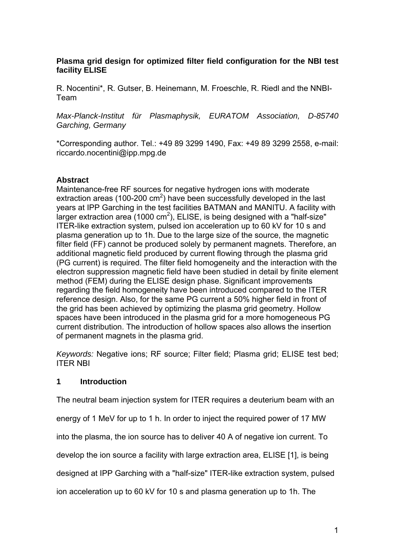## **Plasma grid design for optimized filter field configuration for the NBI test facility ELISE**

R. Nocentini\*, R. Gutser, B. Heinemann, M. Froeschle, R. Riedl and the NNBI-Team

*Max-Planck-Institut für Plasmaphysik, EURATOM Association, D-85740 Garching, Germany* 

\*Corresponding author. Tel.: +49 89 3299 1490, Fax: +49 89 3299 2558, e-mail: riccardo.nocentini@ipp.mpg.de

## **Abstract**

Maintenance-free RF sources for negative hydrogen ions with moderate extraction areas (100-200  $\text{cm}^2$ ) have been successfully developed in the last years at IPP Garching in the test facilities BATMAN and MANITU. A facility with larger extraction area (1000 cm<sup>2</sup>), ELISE, is being designed with a "half-size" ITER-like extraction system, pulsed ion acceleration up to 60 kV for 10 s and plasma generation up to 1h. Due to the large size of the source, the magnetic filter field (FF) cannot be produced solely by permanent magnets. Therefore, an additional magnetic field produced by current flowing through the plasma grid (PG current) is required. The filter field homogeneity and the interaction with the electron suppression magnetic field have been studied in detail by finite element method (FEM) during the ELISE design phase. Significant improvements regarding the field homogeneity have been introduced compared to the ITER reference design. Also, for the same PG current a 50% higher field in front of the grid has been achieved by optimizing the plasma grid geometry. Hollow spaces have been introduced in the plasma grid for a more homogeneous PG current distribution. The introduction of hollow spaces also allows the insertion of permanent magnets in the plasma grid.

*Keywords:* Negative ions; RF source; Filter field; Plasma grid; ELISE test bed; ITER NBI

## **1 Introduction**

The neutral beam injection system for ITER requires a deuterium beam with an

energy of 1 MeV for up to 1 h. In order to inject the required power of 17 MW

into the plasma, the ion source has to deliver 40 A of negative ion current. To

develop the ion source a facility with large extraction area, ELISE [1], is being

designed at IPP Garching with a "half-size" ITER-like extraction system, pulsed

ion acceleration up to 60 kV for 10 s and plasma generation up to 1h. The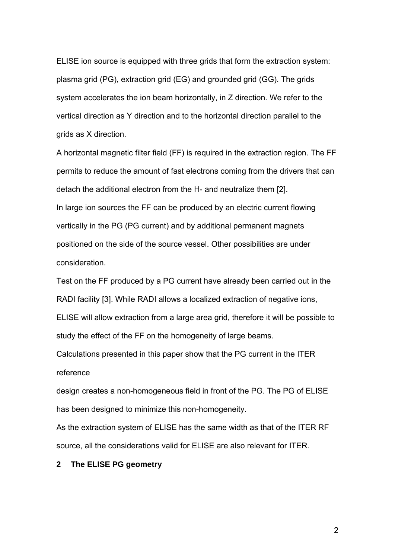ELISE ion source is equipped with three grids that form the extraction system: plasma grid (PG), extraction grid (EG) and grounded grid (GG). The grids system accelerates the ion beam horizontally, in Z direction. We refer to the vertical direction as Y direction and to the horizontal direction parallel to the grids as X direction.

A horizontal magnetic filter field (FF) is required in the extraction region. The FF permits to reduce the amount of fast electrons coming from the drivers that can detach the additional electron from the H- and neutralize them [2]. In large ion sources the FF can be produced by an electric current flowing vertically in the PG (PG current) and by additional permanent magnets positioned on the side of the source vessel. Other possibilities are under consideration.

Test on the FF produced by a PG current have already been carried out in the RADI facility [3]. While RADI allows a localized extraction of negative ions, ELISE will allow extraction from a large area grid, therefore it will be possible to study the effect of the FF on the homogeneity of large beams.

Calculations presented in this paper show that the PG current in the ITER reference

design creates a non-homogeneous field in front of the PG. The PG of ELISE has been designed to minimize this non-homogeneity.

As the extraction system of ELISE has the same width as that of the ITER RF source, all the considerations valid for ELISE are also relevant for ITER.

### **2 The ELISE PG geometry**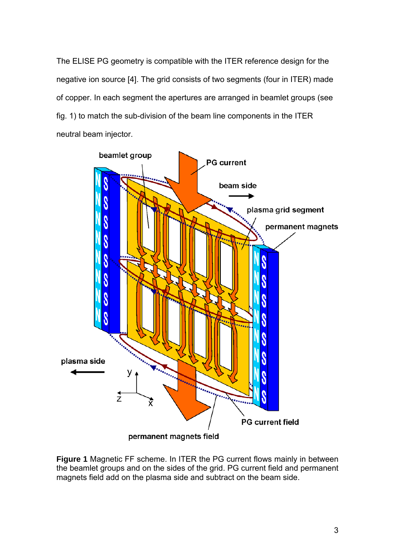The ELISE PG geometry is compatible with the ITER reference design for the negative ion source [4]. The grid consists of two segments (four in ITER) made of copper. In each segment the apertures are arranged in beamlet groups (see fig. 1) to match the sub-division of the beam line components in the ITER neutral beam injector.



**Figure 1** Magnetic FF scheme. In ITER the PG current flows mainly in between the beamlet groups and on the sides of the grid. PG current field and permanent magnets field add on the plasma side and subtract on the beam side.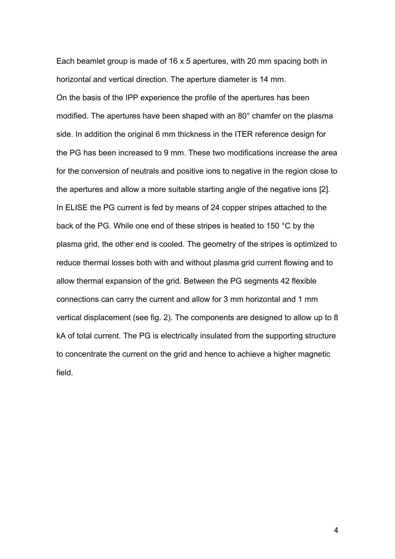Each beamlet group is made of 16 x 5 apertures, with 20 mm spacing both in horizontal and vertical direction. The aperture diameter is 14 mm. On the basis of the IPP experience the profile of the apertures has been modified. The apertures have been shaped with an 80° chamfer on the plasma side. In addition the original 6 mm thickness in the ITER reference design for the PG has been increased to 9 mm. These two modifications increase the area for the conversion of neutrals and positive ions to negative in the region close to the apertures and allow a more suitable starting angle of the negative ions [2]. In ELISE the PG current is fed by means of 24 copper stripes attached to the back of the PG. While one end of these stripes is heated to 150 °C by the plasma grid, the other end is cooled. The geometry of the stripes is optimized to reduce thermal losses both with and without plasma grid current flowing and to allow thermal expansion of the grid. Between the PG segments 42 flexible connections can carry the current and allow for 3 mm horizontal and 1 mm vertical displacement (see fig. 2). The components are designed to allow up to 8 kA of total current. The PG is electrically insulated from the supporting structure to concentrate the current on the grid and hence to achieve a higher magnetic field.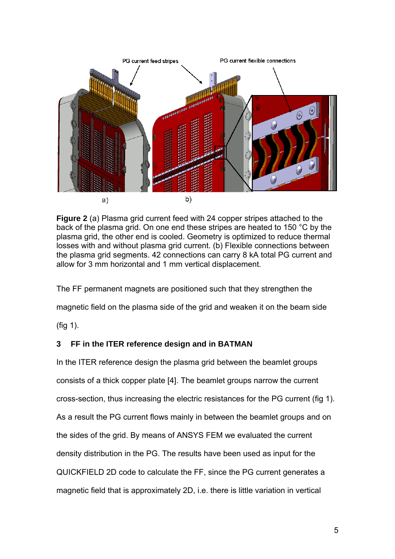

**Figure 2** (a) Plasma grid current feed with 24 copper stripes attached to the back of the plasma grid. On one end these stripes are heated to 150 °C by the plasma grid, the other end is cooled. Geometry is optimized to reduce thermal losses with and without plasma grid current. (b) Flexible connections between the plasma grid segments. 42 connections can carry 8 kA total PG current and allow for 3 mm horizontal and 1 mm vertical displacement.

The FF permanent magnets are positioned such that they strengthen the

magnetic field on the plasma side of the grid and weaken it on the beam side

(fig 1).

## **3 FF in the ITER reference design and in BATMAN**

In the ITER reference design the plasma grid between the beamlet groups consists of a thick copper plate [4]. The beamlet groups narrow the current cross-section, thus increasing the electric resistances for the PG current (fig 1). As a result the PG current flows mainly in between the beamlet groups and on the sides of the grid. By means of ANSYS FEM we evaluated the current density distribution in the PG. The results have been used as input for the QUICKFIELD 2D code to calculate the FF, since the PG current generates a magnetic field that is approximately 2D, i.e. there is little variation in vertical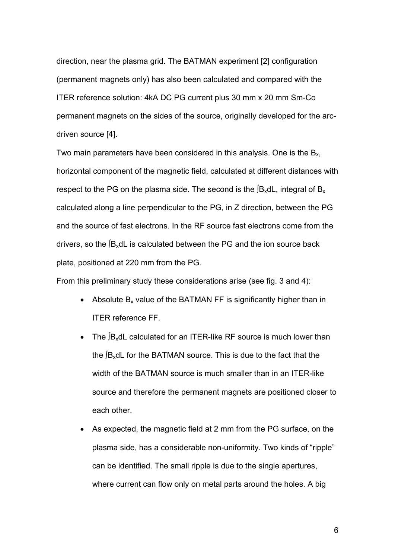direction, near the plasma grid. The BATMAN experiment [2] configuration (permanent magnets only) has also been calculated and compared with the ITER reference solution: 4kA DC PG current plus 30 mm x 20 mm Sm-Co permanent magnets on the sides of the source, originally developed for the arcdriven source [4].

Two main parameters have been considered in this analysis. One is the  $B<sub>x</sub>$ , horizontal component of the magnetic field, calculated at different distances with respect to the PG on the plasma side. The second is the  $[{\sf B_x}dL]$ , integral of  ${\sf B_x}$ calculated along a line perpendicular to the PG, in Z direction, between the PG and the source of fast electrons. In the RF source fast electrons come from the drivers, so the ∫BxdL is calculated between the PG and the ion source back plate, positioned at 220 mm from the PG.

From this preliminary study these considerations arise (see fig. 3 and 4):

- Absolute  $B_x$  value of the BATMAN FF is significantly higher than in ITER reference FF.
- The ∫BxdL calculated for an ITER-like RF source is much lower than the ∫BxdL for the BATMAN source. This is due to the fact that the width of the BATMAN source is much smaller than in an ITER-like source and therefore the permanent magnets are positioned closer to each other.
- As expected, the magnetic field at 2 mm from the PG surface, on the plasma side, has a considerable non-uniformity. Two kinds of "ripple" can be identified. The small ripple is due to the single apertures, where current can flow only on metal parts around the holes. A big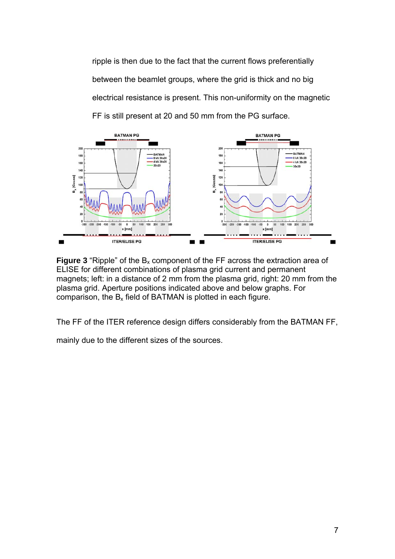ripple is then due to the fact that the current flows preferentially between the beamlet groups, where the grid is thick and no big electrical resistance is present. This non-uniformity on the magnetic FF is still present at 20 and 50 mm from the PG surface.



**Figure 3** "Ripple" of the  $B_x$  component of the FF across the extraction area of ELISE for different combinations of plasma grid current and permanent magnets; left: in a distance of 2 mm from the plasma grid, right: 20 mm from the plasma grid. Aperture positions indicated above and below graphs. For comparison, the  $B_x$  field of BATMAN is plotted in each figure.

The FF of the ITER reference design differs considerably from the BATMAN FF,

mainly due to the different sizes of the sources.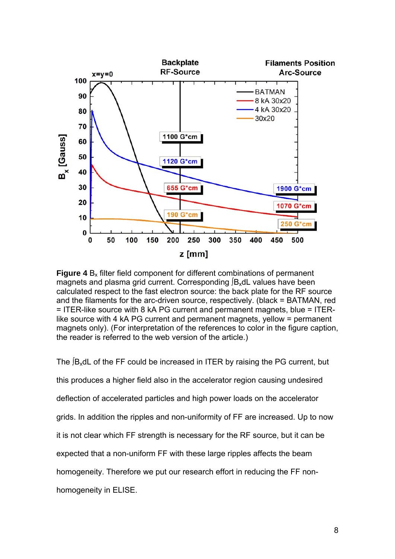

**Figure 4** B<sub>x</sub> filter field component for different combinations of permanent magnets and plasma grid current. Corresponding ∫B<sub>x</sub>dL values have been calculated respect to the fast electron source: the back plate for the RF source and the filaments for the arc-driven source, respectively. (black = BATMAN, red = ITER-like source with 8 kA PG current and permanent magnets, blue = ITERlike source with 4 kA PG current and permanent magnets, yellow = permanent magnets only). (For interpretation of the references to color in the figure caption, the reader is referred to the web version of the article.)

The  $\beta$ <sub>x</sub>dL of the FF could be increased in ITER by raising the PG current, but this produces a higher field also in the accelerator region causing undesired deflection of accelerated particles and high power loads on the accelerator grids. In addition the ripples and non-uniformity of FF are increased. Up to now it is not clear which FF strength is necessary for the RF source, but it can be expected that a non-uniform FF with these large ripples affects the beam homogeneity. Therefore we put our research effort in reducing the FF nonhomogeneity in ELISE.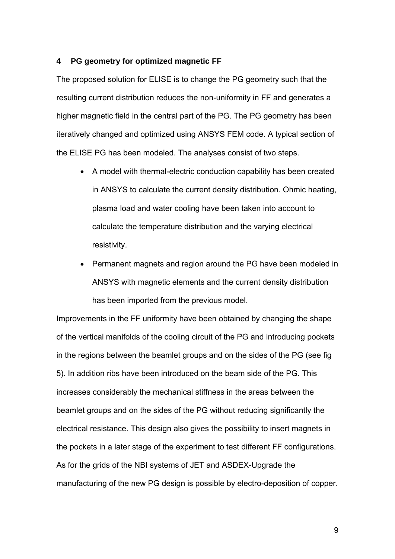#### **4 PG geometry for optimized magnetic FF**

The proposed solution for ELISE is to change the PG geometry such that the resulting current distribution reduces the non-uniformity in FF and generates a higher magnetic field in the central part of the PG. The PG geometry has been iteratively changed and optimized using ANSYS FEM code. A typical section of the ELISE PG has been modeled. The analyses consist of two steps.

- A model with thermal-electric conduction capability has been created in ANSYS to calculate the current density distribution. Ohmic heating, plasma load and water cooling have been taken into account to calculate the temperature distribution and the varying electrical resistivity.
- Permanent magnets and region around the PG have been modeled in ANSYS with magnetic elements and the current density distribution has been imported from the previous model.

Improvements in the FF uniformity have been obtained by changing the shape of the vertical manifolds of the cooling circuit of the PG and introducing pockets in the regions between the beamlet groups and on the sides of the PG (see fig 5). In addition ribs have been introduced on the beam side of the PG. This increases considerably the mechanical stiffness in the areas between the beamlet groups and on the sides of the PG without reducing significantly the electrical resistance. This design also gives the possibility to insert magnets in the pockets in a later stage of the experiment to test different FF configurations. As for the grids of the NBI systems of JET and ASDEX-Upgrade the manufacturing of the new PG design is possible by electro-deposition of copper.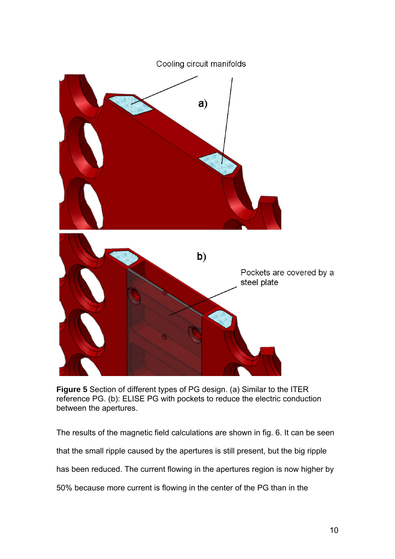

**Figure 5** Section of different types of PG design. (a) Similar to the ITER reference PG. (b): ELISE PG with pockets to reduce the electric conduction between the apertures.

The results of the magnetic field calculations are shown in fig. 6. It can be seen that the small ripple caused by the apertures is still present, but the big ripple has been reduced. The current flowing in the apertures region is now higher by 50% because more current is flowing in the center of the PG than in the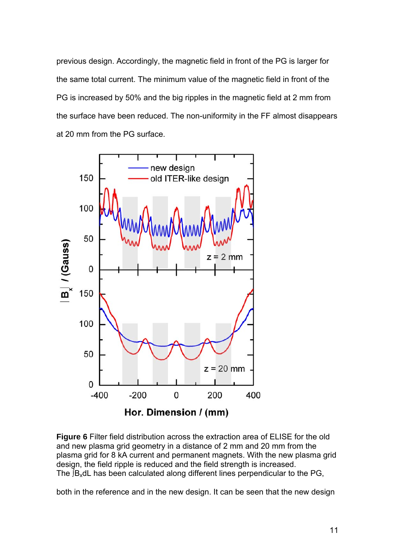previous design. Accordingly, the magnetic field in front of the PG is larger for the same total current. The minimum value of the magnetic field in front of the PG is increased by 50% and the big ripples in the magnetic field at 2 mm from the surface have been reduced. The non-uniformity in the FF almost disappears at 20 mm from the PG surface.





both in the reference and in the new design. It can be seen that the new design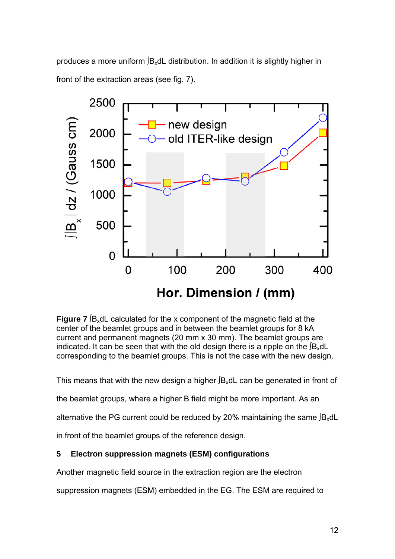produces a more uniform ∫B<sub>x</sub>dL distribution. In addition it is slightly higher in front of the extraction areas (see fig. 7).



**Figure 7**  $[B_x dL$  calculated for the x component of the magnetic field at the center of the beamlet groups and in between the beamlet groups for 8 kA current and permanent magnets (20 mm x 30 mm). The beamlet groups are indicated. It can be seen that with the old design there is a ripple on the  $f_{\text{Bx}}$ dL corresponding to the beamlet groups. This is not the case with the new design.

This means that with the new design a higher  $f_{\text{Bx}}$ dL can be generated in front of

the beamlet groups, where a higher B field might be more important. As an

alternative the PG current could be reduced by 20% maintaining the same  $[B_x dL]$ 

in front of the beamlet groups of the reference design.

# **5 Electron suppression magnets (ESM) configurations**

Another magnetic field source in the extraction region are the electron

suppression magnets (ESM) embedded in the EG. The ESM are required to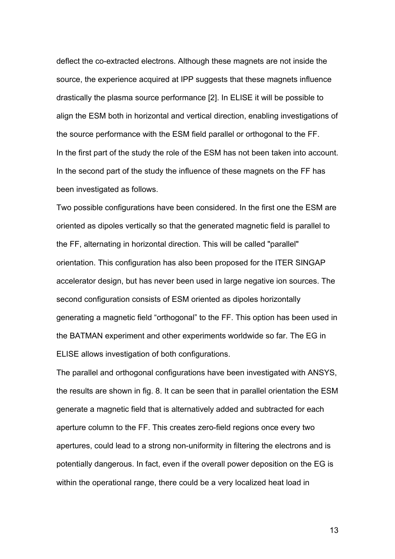deflect the co-extracted electrons. Although these magnets are not inside the source, the experience acquired at IPP suggests that these magnets influence drastically the plasma source performance [2]. In ELISE it will be possible to align the ESM both in horizontal and vertical direction, enabling investigations of the source performance with the ESM field parallel or orthogonal to the FF. In the first part of the study the role of the ESM has not been taken into account. In the second part of the study the influence of these magnets on the FF has been investigated as follows.

Two possible configurations have been considered. In the first one the ESM are oriented as dipoles vertically so that the generated magnetic field is parallel to the FF, alternating in horizontal direction. This will be called "parallel" orientation. This configuration has also been proposed for the ITER SINGAP accelerator design, but has never been used in large negative ion sources. The second configuration consists of ESM oriented as dipoles horizontally generating a magnetic field "orthogonal" to the FF. This option has been used in the BATMAN experiment and other experiments worldwide so far. The EG in ELISE allows investigation of both configurations.

The parallel and orthogonal configurations have been investigated with ANSYS, the results are shown in fig. 8. It can be seen that in parallel orientation the ESM generate a magnetic field that is alternatively added and subtracted for each aperture column to the FF. This creates zero-field regions once every two apertures, could lead to a strong non-uniformity in filtering the electrons and is potentially dangerous. In fact, even if the overall power deposition on the EG is within the operational range, there could be a very localized heat load in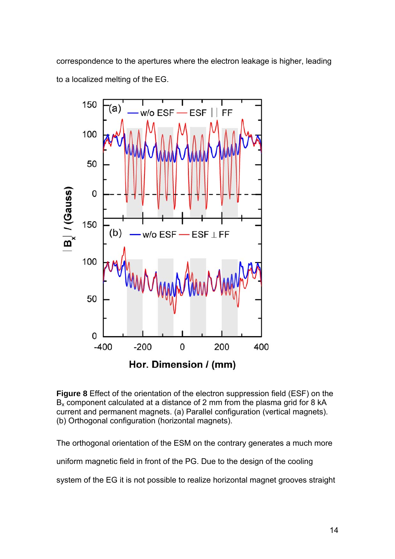correspondence to the apertures where the electron leakage is higher, leading to a localized melting of the EG.



**Figure 8** Effect of the orientation of the electron suppression field (ESF) on the  $B<sub>x</sub>$  component calculated at a distance of 2 mm from the plasma grid for 8 kA current and permanent magnets. (a) Parallel configuration (vertical magnets). (b) Orthogonal configuration (horizontal magnets).

The orthogonal orientation of the ESM on the contrary generates a much more

uniform magnetic field in front of the PG. Due to the design of the cooling

system of the EG it is not possible to realize horizontal magnet grooves straight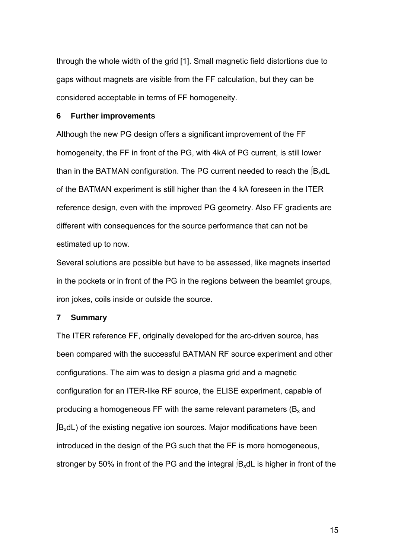through the whole width of the grid [1]. Small magnetic field distortions due to gaps without magnets are visible from the FF calculation, but they can be considered acceptable in terms of FF homogeneity.

### **6 Further improvements**

Although the new PG design offers a significant improvement of the FF homogeneity, the FF in front of the PG, with 4kA of PG current, is still lower than in the BATMAN configuration. The PG current needed to reach the  $[**B**<sub>x</sub>**dL**$ of the BATMAN experiment is still higher than the 4 kA foreseen in the ITER reference design, even with the improved PG geometry. Also FF gradients are different with consequences for the source performance that can not be estimated up to now.

Several solutions are possible but have to be assessed, like magnets inserted in the pockets or in front of the PG in the regions between the beamlet groups, iron jokes, coils inside or outside the source.

### **7 Summary**

The ITER reference FF, originally developed for the arc-driven source, has been compared with the successful BATMAN RF source experiment and other configurations. The aim was to design a plasma grid and a magnetic configuration for an ITER-like RF source, the ELISE experiment, capable of producing a homogeneous FF with the same relevant parameters ( $B<sub>x</sub>$  and ∫BxdL) of the existing negative ion sources. Major modifications have been introduced in the design of the PG such that the FF is more homogeneous, stronger by 50% in front of the PG and the integral  $B_x$ dL is higher in front of the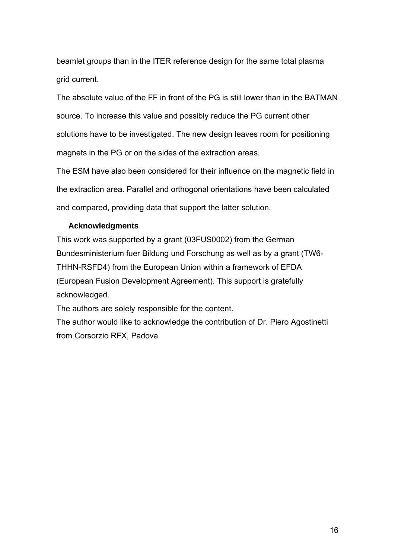beamlet groups than in the ITER reference design for the same total plasma grid current.

The absolute value of the FF in front of the PG is still lower than in the BATMAN source. To increase this value and possibly reduce the PG current other solutions have to be investigated. The new design leaves room for positioning magnets in the PG or on the sides of the extraction areas.

The ESM have also been considered for their influence on the magnetic field in the extraction area. Parallel and orthogonal orientations have been calculated and compared, providing data that support the latter solution.

## **Acknowledgments**

This work was supported by a grant (03FUS0002) from the German Bundesministerium fuer Bildung und Forschung as well as by a grant (TW6- THHN-RSFD4) from the European Union within a framework of EFDA (European Fusion Development Agreement). This support is gratefully acknowledged.

The authors are solely responsible for the content.

The author would like to acknowledge the contribution of Dr. Piero Agostinetti from Corsorzio RFX, Padova